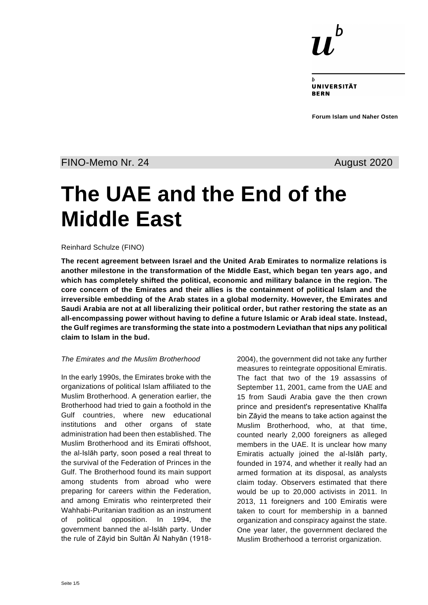UNIVERSITÄT **RFRN** 

**Forum Islam und Naher Osten**

## FINO-Memo Nr. 24 August 2020

# **The UAE and the End of the Middle East**

Reinhard Schulze (FINO)

**The recent agreement between Israel and the United Arab Emirates to normalize relations is another milestone in the transformation of the Middle East, which began ten years ago, and which has completely shifted the political, economic and military balance in the region. The core concern of the Emirates and their allies is the containment of political Islam and the irreversible embedding of the Arab states in a global modernity. However, the Emirates and Saudi Arabia are not at all liberalizing their political order, but rather restoring the state as an all-encompassing power without having to define a future Islamic or Arab ideal state. Instead, the Gulf regimes are transforming the state into a postmodern Leviathan that nips any political claim to Islam in the bud.**

#### *The Emirates and the Muslim Brotherhood*

In the early 1990s, the Emirates broke with the organizations of political Islam affiliated to the Muslim Brotherhood. A generation earlier, the Brotherhood had tried to gain a foothold in the Gulf countries, where new educational institutions and other organs of state administration had been then established. The Muslim Brotherhood and its Emirati offshoot, the al-Islāh party, soon posed a real threat to the survival of the Federation of Princes in the Gulf. The Brotherhood found its main support among students from abroad who were preparing for careers within the Federation, and among Emiratis who reinterpreted their Wahhabi-Puritanian tradition as an instrument of political opposition. In 1994, the government banned the al-Islāh party. Under the rule of Zāyid bin Sultān Āl Nahyān (19182004), the government did not take any further measures to reintegrate oppositional Emiratis. The fact that two of the 19 assassins of September 11, 2001, came from the UAE and 15 from Saudi Arabia gave the then crown prince and president's representative Khalīfa bin Zāyid the means to take action against the Muslim Brotherhood, who, at that time, counted nearly 2,000 foreigners as alleged members in the UAE. It is unclear how many Emiratis actually joined the al-Islāh party, founded in 1974, and whether it really had an armed formation at its disposal, as analysts claim today. Observers estimated that there would be up to 20,000 activists in 2011. In 2013, 11 foreigners and 100 Emiratis were taken to court for membership in a banned organization and conspiracy against the state. One year later, the government declared the Muslim Brotherhood a terrorist organization.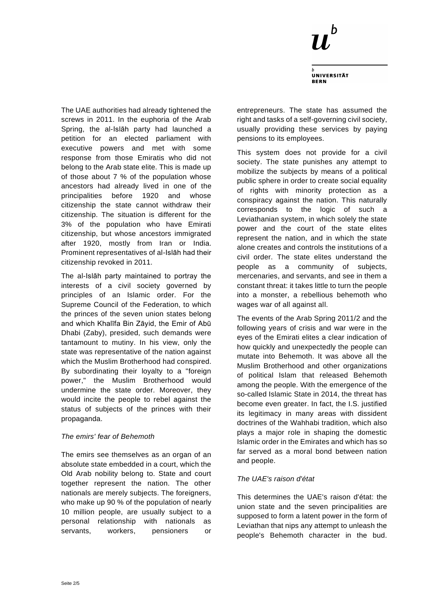

The UAE authorities had already tightened the screws in 2011. In the euphoria of the Arab Spring, the al-Islāh party had launched a petition for an elected parliament with executive powers and met with some response from those Emiratis who did not belong to the Arab state elite. This is made up of those about 7 % of the population whose ancestors had already lived in one of the principalities before 1920 and whose citizenship the state cannot withdraw their citizenship. The situation is different for the 3% of the population who have Emirati citizenship, but whose ancestors immigrated after 1920, mostly from Iran or India. Prominent representatives of al-Islāh had their citizenship revoked in 2011.

The al-Islāh party maintained to portray the interests of a civil society governed by principles of an Islamic order. For the Supreme Council of the Federation, to which the princes of the seven union states belong and which Khalīfa Bin Zāyid, the Emir of Abū Dhabi (Zaby), presided, such demands were tantamount to mutiny. In his view, only the state was representative of the nation against which the Muslim Brotherhood had conspired. By subordinating their loyalty to a "foreign power," the Muslim Brotherhood would undermine the state order. Moreover, they would incite the people to rebel against the status of subjects of the princes with their propaganda.

#### *The emirs' fear of Behemoth*

The emirs see themselves as an organ of an absolute state embedded in a court, which the Old Arab nobility belong to. State and court together represent the nation. The other nationals are merely subjects. The foreigners, who make up 90 % of the population of nearly 10 million people, are usually subject to a personal relationship with nationals as servants, workers, pensioners or

entrepreneurs. The state has assumed the right and tasks of a self-governing civil society, usually providing these services by paying pensions to its employees.

This system does not provide for a civil society. The state punishes any attempt to mobilize the subjects by means of a political public sphere in order to create social equality of rights with minority protection as a conspiracy against the nation. This naturally corresponds to the logic of such a Leviathanian system, in which solely the state power and the court of the state elites represent the nation, and in which the state alone creates and controls the institutions of a civil order. The state elites understand the people as a community of subjects, mercenaries, and servants, and see in them a constant threat: it takes little to turn the people into a monster, a rebellious behemoth who wages war of all against all.

The events of the Arab Spring 2011/2 and the following years of crisis and war were in the eyes of the Emirati elites a clear indication of how quickly and unexpectedly the people can mutate into Behemoth. It was above all the Muslim Brotherhood and other organizations of political Islam that released Behemoth among the people. With the emergence of the so-called Islamic State in 2014, the threat has become even greater. In fact, the I.S. justified its legitimacy in many areas with dissident doctrines of the Wahhabi tradition, which also plays a major role in shaping the domestic Islamic order in the Emirates and which has so far served as a moral bond between nation and people.

### *The UAE's raison d'état*

This determines the UAE's raison d'état: the union state and the seven principalities are supposed to form a latent power in the form of Leviathan that nips any attempt to unleash the people's Behemoth character in the bud.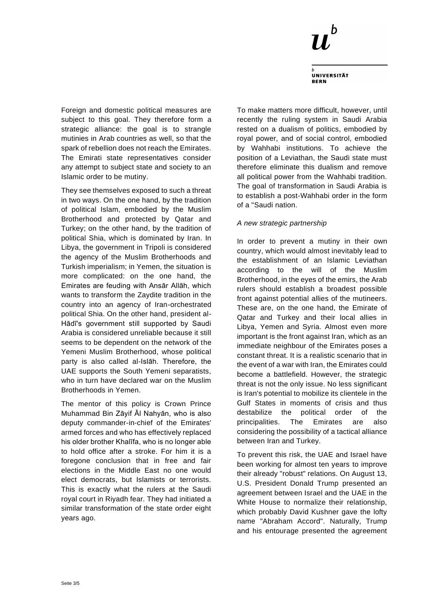

Foreign and domestic political measures are subject to this goal. They therefore form a strategic alliance: the goal is to strangle mutinies in Arab countries as well, so that the spark of rebellion does not reach the Emirates. The Emirati state representatives consider any attempt to subject state and society to an Islamic order to be mutiny.

They see themselves exposed to such a threat in two ways. On the one hand, by the tradition of political Islam, embodied by the Muslim Brotherhood and protected by Qatar and Turkey; on the other hand, by the tradition of political Shia, which is dominated by Iran. In Libya, the government in Tripoli is considered the agency of the Muslim Brotherhoods and Turkish imperialism; in Yemen, the situation is more complicated: on the one hand, the Emirates are feuding with Ansār Allāh, which wants to transform the Zaydite tradition in the country into an agency of Iran-orchestrated political Shia. On the other hand, president al-Hādī's government still supported by Saudi Arabia is considered unreliable because it still seems to be dependent on the network of the Yemeni Muslim Brotherhood, whose political party is also called al-Islāh. Therefore, the UAE supports the South Yemeni separatists, who in turn have declared war on the Muslim Brotherhoods in Yemen.

The mentor of this policy is Crown Prince Muhammad Bin Zāyif Āl Nahyān, who is also deputy commander-in-chief of the Emirates' armed forces and who has effectively replaced his older brother Khalīfa, who is no longer able to hold office after a stroke. For him it is a foregone conclusion that in free and fair elections in the Middle East no one would elect democrats, but Islamists or terrorists. This is exactly what the rulers at the Saudi royal court in Riyadh fear. They had initiated a similar transformation of the state order eight years ago.

To make matters more difficult, however, until recently the ruling system in Saudi Arabia rested on a dualism of politics, embodied by royal power, and of social control, embodied by Wahhabi institutions. To achieve the position of a Leviathan, the Saudi state must therefore eliminate this dualism and remove all political power from the Wahhabi tradition. The goal of transformation in Saudi Arabia is to establish a post-Wahhabi order in the form of a "Saudi nation.

#### *A new strategic partnership*

In order to prevent a mutiny in their own country, which would almost inevitably lead to the establishment of an Islamic Leviathan according to the will of the Muslim Brotherhood, in the eyes of the emirs, the Arab rulers should establish a broadest possible front against potential allies of the mutineers. These are, on the one hand, the Emirate of Qatar and Turkey and their local allies in Libya, Yemen and Syria. Almost even more important is the front against Iran, which as an immediate neighbour of the Emirates poses a constant threat. It is a realistic scenario that in the event of a war with Iran, the Emirates could become a battlefield. However, the strategic threat is not the only issue. No less significant is Iran's potential to mobilize its clientele in the Gulf States in moments of crisis and thus destabilize the political order of the principalities. The Emirates are also considering the possibility of a tactical alliance between Iran and Turkey.

To prevent this risk, the UAE and Israel have been working for almost ten years to improve their already "robust" relations. On August 13, U.S. President Donald Trump presented an agreement between Israel and the UAE in the White House to normalize their relationship, which probably David Kushner gave the lofty name "Abraham Accord". Naturally, Trump and his entourage presented the agreement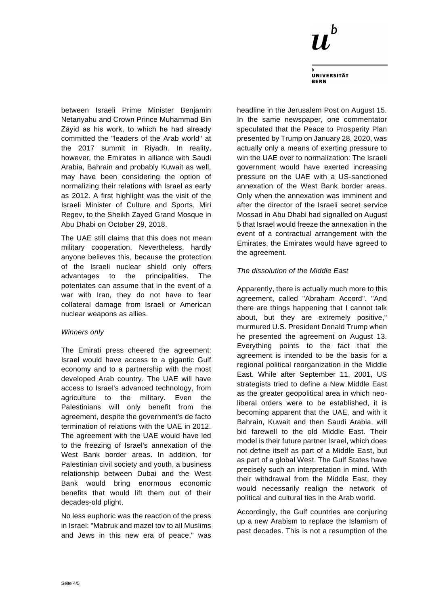

between Israeli Prime Minister Benjamin Netanyahu and Crown Prince Muhammad Bin Zāyid as his work, to which he had already committed the "leaders of the Arab world" at the 2017 summit in Riyadh. In reality, however, the Emirates in alliance with Saudi Arabia, Bahrain and probably Kuwait as well, may have been considering the option of normalizing their relations with Israel as early as 2012. A first highlight was the visit of the Israeli Minister of Culture and Sports, Miri Regev, to the Sheikh Zayed Grand Mosque in Abu Dhabi on October 29, 2018.

The UAE still claims that this does not mean military cooperation. Nevertheless, hardly anyone believes this, because the protection of the Israeli nuclear shield only offers advantages to the principalities. The potentates can assume that in the event of a war with Iran, they do not have to fear collateral damage from Israeli or American nuclear weapons as allies.

#### *Winners only*

The Emirati press cheered the agreement: Israel would have access to a gigantic Gulf economy and to a partnership with the most developed Arab country. The UAE will have access to Israel's advanced technology, from agriculture to the military. Even the Palestinians will only benefit from the agreement, despite the government's de facto termination of relations with the UAE in 2012. The agreement with the UAE would have led to the freezing of Israel's annexation of the West Bank border areas. In addition, for Palestinian civil society and youth, a business relationship between Dubai and the West Bank would bring enormous economic benefits that would lift them out of their decades-old plight.

No less euphoric was the reaction of the press in Israel: "Mabruk and mazel tov to all Muslims and Jews in this new era of peace," was headline in the Jerusalem Post on August 15. In the same newspaper, one commentator speculated that the Peace to Prosperity Plan presented by Trump on January 28, 2020, was actually only a means of exerting pressure to win the UAE over to normalization: The Israeli government would have exerted increasing pressure on the UAE with a US-sanctioned annexation of the West Bank border areas. Only when the annexation was imminent and after the director of the Israeli secret service Mossad in Abu Dhabi had signalled on August 5 that Israel would freeze the annexation in the event of a contractual arrangement with the Emirates, the Emirates would have agreed to the agreement.

#### *The dissolution of the Middle East*

Apparently, there is actually much more to this agreement, called "Abraham Accord". "And there are things happening that I cannot talk about, but they are extremely positive," murmured U.S. President Donald Trump when he presented the agreement on August 13. Everything points to the fact that the agreement is intended to be the basis for a regional political reorganization in the Middle East. While after September 11, 2001, US strategists tried to define a New Middle East as the greater geopolitical area in which neoliberal orders were to be established, it is becoming apparent that the UAE, and with it Bahrain, Kuwait and then Saudi Arabia, will bid farewell to the old Middle East. Their model is their future partner Israel, which does not define itself as part of a Middle East, but as part of a global West. The Gulf States have precisely such an interpretation in mind. With their withdrawal from the Middle East, they would necessarily realign the network of political and cultural ties in the Arab world.

Accordingly, the Gulf countries are conjuring up a new Arabism to replace the Islamism of past decades. This is not a resumption of the